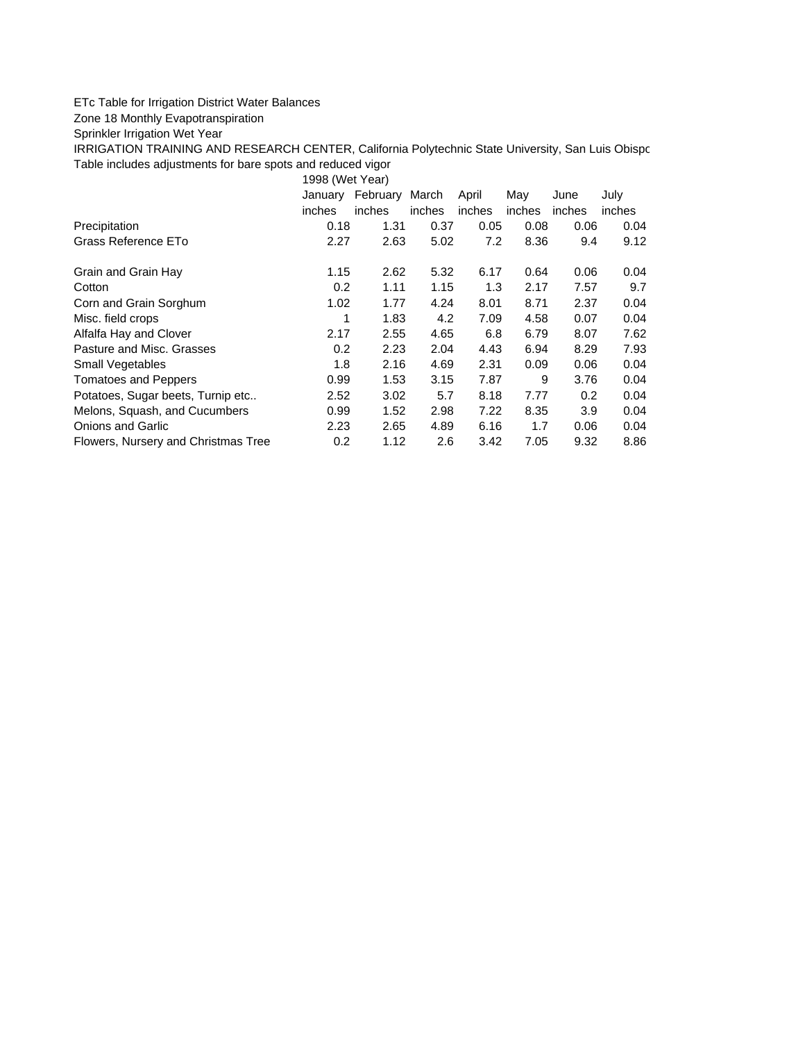## ETc Table for Irrigation District Water Balances

Zone 18 Monthly Evapotranspiration

Sprinkler Irrigation Wet Year

IRRIGATION TRAINING AND RESEARCH CENTER, California Polytechnic State University, San Luis Obispo Table includes adjustments for bare spots and reduced vigor

1998 (Wet Year)

|                                     | January<br>inches | February<br>inches | March<br><i>inches</i> | April<br>inches | May<br>inches | June<br>inches | July<br>inches |
|-------------------------------------|-------------------|--------------------|------------------------|-----------------|---------------|----------------|----------------|
| Precipitation                       | 0.18              | 1.31               | 0.37                   | 0.05            | 0.08          | 0.06           | 0.04           |
| Grass Reference ETo                 | 2.27              | 2.63               | 5.02                   | 7.2             | 8.36          | 9.4            | 9.12           |
| Grain and Grain Hay                 | 1.15              | 2.62               | 5.32                   | 6.17            | 0.64          | 0.06           | 0.04           |
| Cotton                              | 0.2               | 1.11               | 1.15                   | 1.3             | 2.17          | 7.57           | 9.7            |
| Corn and Grain Sorghum              | 1.02              | 1.77               | 4.24                   | 8.01            | 8.71          | 2.37           | 0.04           |
| Misc. field crops                   | 1                 | 1.83               | 4.2                    | 7.09            | 4.58          | 0.07           | 0.04           |
| Alfalfa Hay and Clover              | 2.17              | 2.55               | 4.65                   | 6.8             | 6.79          | 8.07           | 7.62           |
| Pasture and Misc. Grasses           | 0.2               | 2.23               | 2.04                   | 4.43            | 6.94          | 8.29           | 7.93           |
| <b>Small Vegetables</b>             | 1.8               | 2.16               | 4.69                   | 2.31            | 0.09          | 0.06           | 0.04           |
| <b>Tomatoes and Peppers</b>         | 0.99              | 1.53               | 3.15                   | 7.87            | 9             | 3.76           | 0.04           |
| Potatoes, Sugar beets, Turnip etc   | 2.52              | 3.02               | 5.7                    | 8.18            | 7.77          | 0.2            | 0.04           |
| Melons, Squash, and Cucumbers       | 0.99              | 1.52               | 2.98                   | 7.22            | 8.35          | 3.9            | 0.04           |
| Onions and Garlic                   | 2.23              | 2.65               | 4.89                   | 6.16            | 1.7           | 0.06           | 0.04           |
| Flowers, Nursery and Christmas Tree | 0.2               | 1.12               | 2.6                    | 3.42            | 7.05          | 9.32           | 8.86           |